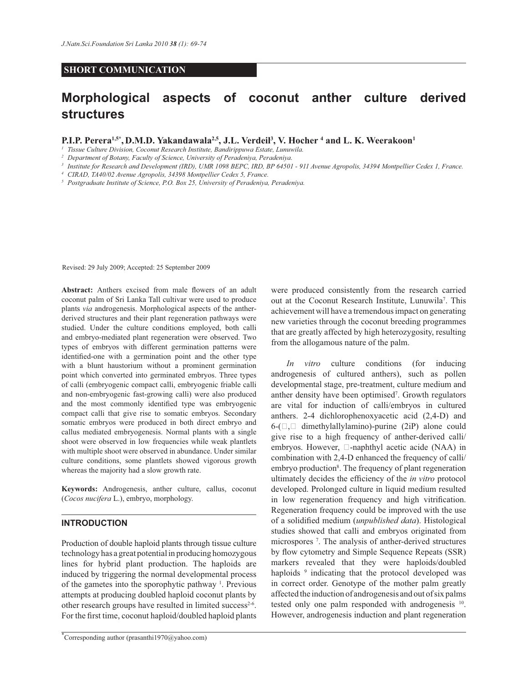### **SHORT COMMUNICATION**

# **Morphological aspects of coconut anther culture derived structures**

**P.I.P. Perera1,5\* , D.M.D. Yakandawala2,5, J.L. Verdeil<sup>3</sup> , V. Hocher <sup>4</sup> and L. K. Weerakoon<sup>1</sup>**

*<sup>1</sup>Tissue Culture Division, Coconut Research Institute, Bandirippuwa Estate, Lunuwila.*

*<sup>2</sup>Department of Botany, Faculty of Science, University of Peradeniya, Peradeniya.*

*<sup>3</sup>Institute for Research and Development (IRD), UMR 1098 BEPC, IRD, BP 64501 - 911 Avenue Agropolis, 34394 Montpellier Cedex 1, France.*

*<sup>4</sup>CIRAD, TA40/02 Avenue Agropolis, 34398 Montpellier Cedex 5, France.*

*<sup>5</sup>Postgraduate Institute of Science, P.O. Box 25, University of Peradeniya, Peradeniya.*

Revised: 29 July 2009; Accepted: 25 September 2009

**Abstract:** Anthers excised from male flowers of an adult coconut palm of Sri Lanka Tall cultivar were used to produce plants *via* androgenesis. Morphological aspects of the antherderived structures and their plant regeneration pathways were studied. Under the culture conditions employed, both calli and embryo-mediated plant regeneration were observed. Two types of embryos with different germination patterns were identified-one with a germination point and the other type with a blunt haustorium without a prominent germination point which converted into germinated embryos. Three types of calli (embryogenic compact calli, embryogenic friable calli and non-embryogenic fast-growing calli) were also produced and the most commonly identified type was embryogenic compact calli that give rise to somatic embryos. Secondary somatic embryos were produced in both direct embryo and callus mediated embryogenesis. Normal plants with a single shoot were observed in low frequencies while weak plantlets with multiple shoot were observed in abundance. Under similar culture conditions, some plantlets showed vigorous growth whereas the majority had a slow growth rate.

**Keywords:** Androgenesis, anther culture, callus, coconut (*Cocos nucifera* L.), embryo, morphology.

#### **INTRODUCTION**

Production of double haploid plants through tissue culture technology has a great potential in producing homozygous lines for hybrid plant production. The haploids are induced by triggering the normal developmental process of the gametes into the sporophytic pathway <sup>1</sup>. Previous attempts at producing doubled haploid coconut plants by other research groups have resulted in limited success<sup>2-6</sup>. For the first time, coconut haploid/doubled haploid plants

were produced consistently from the research carried out at the Coconut Research Institute, Lunuwila<sup>7</sup>. This achievement will have a tremendous impact on generating new varieties through the coconut breeding programmes that are greatly affected by high heterozygosity, resulting from the allogamous nature of the palm.

*In vitro* culture conditions (for inducing androgenesis of cultured anthers), such as pollen developmental stage, pre-treatment, culture medium and anther density have been optimised<sup>7</sup>. Growth regulators are vital for induction of calli/embryos in cultured anthers. 2-4 dichlorophenoxyacetic acid (2,4-D) and  $6-(\Box, \Box)$  dimethylallylamino)-purine (2iP) alone could give rise to a high frequency of anther-derived calli/ embryos. However,  $\Box$ -naphthyl acetic acide (NAA) in combination with 2,4-D enhanced the frequency of calli/ embryo production<sup>8</sup>. The frequency of plant regeneration ultimately decides the efficiency of the *in vitro* protocol developed. Prolonged culture in liquid medium resulted in low regeneration frequency and high vitrification. Regeneration frequency could be improved with the use of a solidified medium (*unpublished data*). Histological studies showed that calli and embryos originated from microspores <sup>7</sup> . The analysis of anther-derived structures by flow cytometry and Simple Sequence Repeats (SSR) markers revealed that they were haploids/doubled haploids<sup>9</sup> indicating that the protocol developed was in correct order. Genotype of the mother palm greatly affected the induction of androgenesis and out of six palms tested only one palm responded with androgenesis <sup>10</sup>. However, androgenesis induction and plant regeneration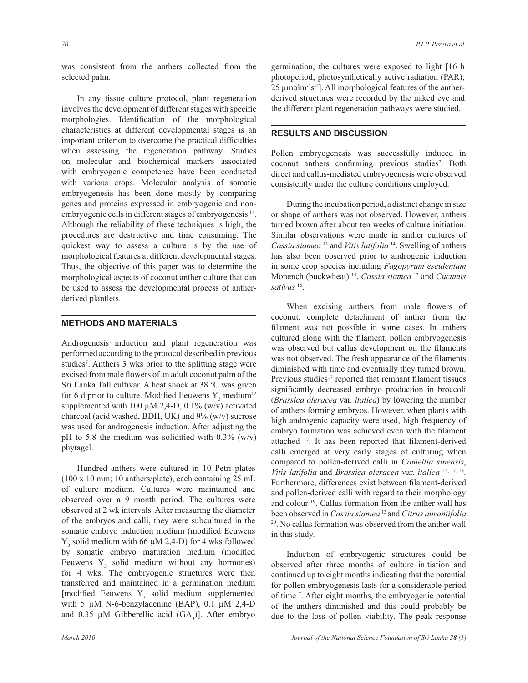was consistent from the anthers collected from the selected palm.

 In any tissue culture protocol, plant regeneration involves the development of different stages with specific morphologies. Identification of the morphological characteristics at different developmental stages is an important criterion to overcome the practical difficulties when assessing the regeneration pathway. Studies on molecular and biochemical markers associated with embryogenic competence have been conducted with various crops. Molecular analysis of somatic embryogenesis has been done mostly by comparing genes and proteins expressed in embryogenic and nonembryogenic cells in different stages of embryogenesis<sup>11</sup>. Although the reliability of these techniques is high, the procedures are destructive and time consuming. The quickest way to assess a culture is by the use of morphological features at different developmental stages. Thus, the objective of this paper was to determine the morphological aspects of coconut anther culture that can be used to assess the developmental process of antherderived plantlets.

# **METHODS AND MATERIALS**

Androgenesis induction and plant regeneration was performed according to the protocol described in previous studies<sup>7</sup> . Anthers 3 wks prior to the splitting stage were excised from male flowers of an adult coconut palm of the Sri Lanka Tall cultivar. A heat shock at 38 ºC was given for 6 d prior to culture. Modified Eeuwens  $Y_3$  medium<sup>12</sup> supplemented with 100  $\mu$ M 2,4-D, 0.1% (w/v) activated charcoal (acid washed, BDH, UK) and  $9\%$  (w/v) sucrose was used for androgenesis induction. After adjusting the pH to 5.8 the medium was solidified with  $0.3\%$  (w/v) phytagel.

 Hundred anthers were cultured in 10 Petri plates (100 x 10 mm; 10 anthers/plate), each containing 25 mL of culture medium. Cultures were maintained and observed over a 9 month period. The cultures were observed at 2 wk intervals. After measuring the diameter of the embryos and calli, they were subcultured in the somatic embryo induction medium (modified Eeuwens  $Y_3$  solid medium with 66  $\mu$ M 2,4-D) for 4 wks followed by somatic embryo maturation medium (modified Eeuwens  $Y_3$  solid medium without any hormones) for 4 wks. The embryogenic structures were then transferred and maintained in a germination medium [modified Eeuwens  $Y_3$  solid medium supplemented with 5  $\mu$ M N-6-benzyladenine (BAP), 0.1  $\mu$ M 2,4-D and 0.35  $\mu$ M Gibberellic acid (GA<sub>3</sub>)]. After embryo germination, the cultures were exposed to light [16 h photoperiod; photosynthetically active radiation (PAR);  $25 \mu$ molm<sup>-2</sup>s<sup>-1</sup>]. All morphological features of the antherderived structures were recorded by the naked eye and the different plant regeneration pathways were studied.

# **RESULTS AND DISCUSSION**

Pollen embryogenesis was successfully induced in coconut anthers confirming previous studies<sup>7</sup>. Both direct and callus-mediated embryogenesis were observed consistently under the culture conditions employed.

 During the incubation period, a distinct change in size or shape of anthers was not observed. However, anthers turned brown after about ten weeks of culture initiation. Similar observations were made in anther cultures of *Cassia siamea* <sup>13</sup> and *Vitis latifolia* <sup>14</sup>. Swelling of anthers has also been observed prior to androgenic induction in some crop species including *Fagopyrum esculentum*  Monench (buckwheat) <sup>15</sup> , *Cassia siamea* <sup>13</sup> and *Cucumis sativus* <sup>16</sup> .

When excising anthers from male flowers of coconut, complete detachment of anther from the filament was not possible in some cases. In anthers cultured along with the filament, pollen embryogenesis was observed but callus development on the filaments was not observed. The fresh appearance of the filaments diminished with time and eventually they turned brown. Previous studies<sup>17</sup> reported that remnant filament tissues significantly decreased embryo production in broccoli (*Brassica oleracea* var. *italica*) by lowering the number of anthers forming embryos. However, when plants with high androgenic capacity were used, high frequency of embryo formation was achieved even with the filament attached <sup>17</sup>. It has been reported that filament-derived calli emerged at very early stages of culturing when compared to pollen-derived calli in *Camellia sinensis*, *Vitis latifolia* and *Brassica oleracea* var. *italica* 14, 17, 18 . Furthermore, differences exist between filament-derived and pollen-derived calli with regard to their morphology and colour <sup>19</sup>. Callus formation from the anther wall has been observed in *Cassia siamea* <sup>13</sup>and *Citrus aurantifolia*  <sup>20</sup>. No callus formation was observed from the anther wall in this study.

 Induction of embryogenic structures could be observed after three months of culture initiation and continued up to eight months indicating that the potential for pollen embryogenesis lasts for a considerable period of time <sup>7</sup> . After eight months, the embryogenic potential of the anthers diminished and this could probably be due to the loss of pollen viability. The peak response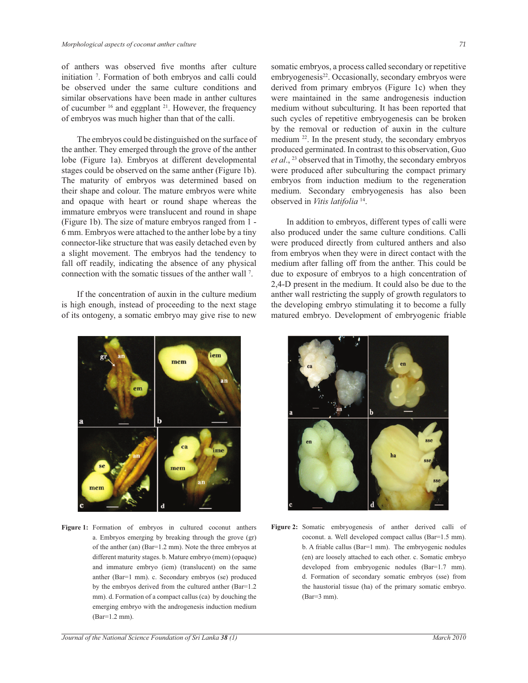of anthers was observed five months after culture initiation <sup>7</sup> . Formation of both embryos and calli could be observed under the same culture conditions and similar observations have been made in anther cultures of cucumber <sup>16</sup> and eggplant <sup>21</sup>. However, the frequency of embryos was much higher than that of the calli.

 The embryos could be distinguished on the surface of the anther. They emerged through the grove of the anther lobe (Figure 1a). Embryos at different developmental stages could be observed on the same anther (Figure 1b). The maturity of embryos was determined based on their shape and colour. The mature embryos were white and opaque with heart or round shape whereas the immature embryos were translucent and round in shape (Figure 1b). The size of mature embryos ranged from 1 - 6 mm. Embryos were attached to the anther lobe by a tiny connector-like structure that was easily detached even by a slight movement. The embryos had the tendency to fall off readily, indicating the absence of any physical connection with the somatic tissues of the anther wall <sup>7</sup> .

 If the concentration of auxin in the culture medium is high enough, instead of proceeding to the next stage of its ontogeny, a somatic embryo may give rise to new



Figure 1: Formation of embryos in cultured coconut anthers a. Embryos emerging by breaking through the grove (gr) of the anther (an) (Bar=1.2 mm). Note the three embryos at different maturity stages. b. Mature embryo (mem) (opaque) and immature embryo (iem) (translucent) on the same anther (Bar=1 mm). c. Secondary embryos (se) produced by the embryos derived from the cultured anther (Bar=1.2 mm). d. Formation of a compact callus (ca) by douching the emerging embryo with the androgenesis induction medium (Bar=1.2 mm).

somatic embryos, a process called secondary or repetitive embryogenesis<sup>22</sup>. Occasionally, secondary embryos were derived from primary embryos (Figure 1c) when they were maintained in the same androgenesis induction medium without subculturing. It has been reported that such cycles of repetitive embryogenesis can be broken by the removal or reduction of auxin in the culture medium <sup>22</sup>. In the present study, the secondary embryos produced germinated. In contrast to this observation, Guo *et al*., <sup>23</sup> observed that in Timothy, the secondary embryos were produced after subculturing the compact primary embryos from induction medium to the regeneration medium. Secondary embryogenesis has also been observed in *Vitis latifolia* <sup>14</sup> .

 In addition to embryos, different types of calli were also produced under the same culture conditions. Calli were produced directly from cultured anthers and also from embryos when they were in direct contact with the medium after falling off from the anther. This could be due to exposure of embryos to a high concentration of 2,4-D present in the medium. It could also be due to the anther wall restricting the supply of growth regulators to the developing embryo stimulating it to become a fully matured embryo. Development of embryogenic friable



**Figure 2:** Somatic embryogenesis of anther derived calli of coconut. a. Well developed compact callus (Bar=1.5 mm). b. A friable callus (Bar=1 mm). The embryogenic nodules (en) are loosely attached to each other. c. Somatic embryo developed from embryogenic nodules (Bar=1.7 mm). d. Formation of secondary somatic embryos (sse) from the haustorial tissue (ha) of the primary somatic embryo. (Bar=3 mm).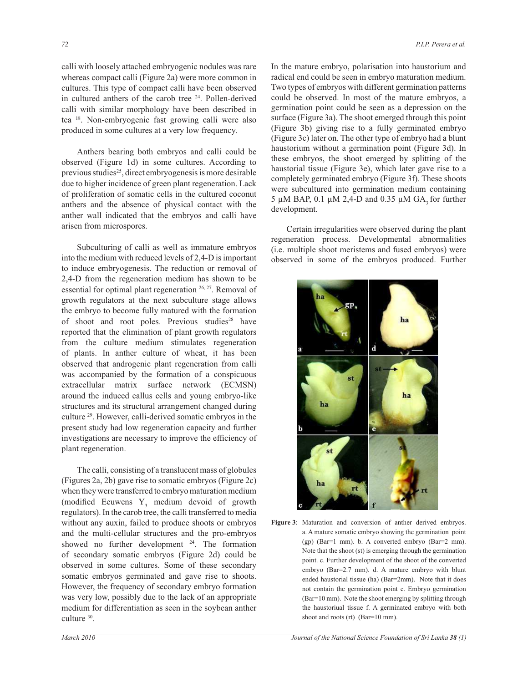calli with loosely attached embryogenic nodules was rare whereas compact calli (Figure 2a) were more common in cultures. This type of compact calli have been observed in cultured anthers of the carob tree  $24$ . Pollen-derived calli with similar morphology have been described in tea <sup>18</sup>. Non-embryogenic fast growing calli were also produced in some cultures at a very low frequency.

 Anthers bearing both embryos and calli could be observed (Figure 1d) in some cultures. According to previous studies<sup>25</sup>, direct embryogenesis is more desirable due to higher incidence of green plant regeneration. Lack of proliferation of somatic cells in the cultured coconut anthers and the absence of physical contact with the anther wall indicated that the embryos and calli have arisen from microspores.

 Subculturing of calli as well as immature embryos into the medium with reduced levels of 2,4-D is important to induce embryogenesis. The reduction or removal of 2,4-D from the regeneration medium has shown to be essential for optimal plant regeneration <sup>26, 27</sup>. Removal of growth regulators at the next subculture stage allows the embryo to become fully matured with the formation of shoot and root poles. Previous studies<sup>28</sup> have reported that the elimination of plant growth regulators from the culture medium stimulates regeneration of plants. In anther culture of wheat, it has been observed that androgenic plant regeneration from calli was accompanied by the formation of a conspicuous extracellular matrix surface network (ECMSN) around the induced callus cells and young embryo-like structures and its structural arrangement changed during culture <sup>29</sup>. However, calli-derived somatic embryos in the present study had low regeneration capacity and further investigations are necessary to improve the efficiency of plant regeneration.

 The calli, consisting of a translucent mass of globules (Figures 2a, 2b) gave rise to somatic embryos (Figure 2c) when they were transferred to embryo maturation medium (modified Eeuwens  $Y_3$  medium devoid of growth regulators). In the carob tree, the calli transferred to media without any auxin, failed to produce shoots or embryos and the multi-cellular structures and the pro-embryos showed no further development <sup>24</sup>. The formation of secondary somatic embryos (Figure 2d) could be observed in some cultures. Some of these secondary somatic embryos germinated and gave rise to shoots. However, the frequency of secondary embryo formation was very low, possibly due to the lack of an appropriate medium for differentiation as seen in the soybean anther culture <sup>30</sup>.

In the mature embryo, polarisation into haustorium and radical end could be seen in embryo maturation medium. Two types of embryos with different germination patterns could be observed. In most of the mature embryos, a germination point could be seen as a depression on the surface (Figure 3a). The shoot emerged through this point (Figure 3b) giving rise to a fully germinated embryo (Figure 3c) later on. The other type of embryo had a blunt haustorium without a germination point (Figure 3d). In these embryos, the shoot emerged by splitting of the haustorial tissue (Figure 3e), which later gave rise to a completely germinated embryo (Figure 3f). These shoots were subcultured into germination medium containing 5 µM BAP, 0.1 µM 2,4-D and 0.35 µM GA<sub>3</sub> for further development.

 Certain irregularities were observed during the plant regeneration process. Developmental abnormalities (i.e. multiple shoot meristems and fused embryos) were observed in some of the embryos produced. Further



**Figure 3**: Maturation and conversion of anther derived embryos. a. A mature somatic embryo showing the germination point (gp) (Bar=1 mm). b. A converted embryo (Bar=2 mm). Note that the shoot (st) is emerging through the germination point. c. Further development of the shoot of the converted embryo (Bar=2.7 mm). d. A mature embryo with blunt ended haustorial tissue (ha) (Bar=2mm). Note that it does not contain the germination point e. Embryo germination (Bar=10 mm). Note the shoot emerging by splitting through the haustoriual tissue f. A germinated embryo with both shoot and roots (rt) (Bar=10 mm).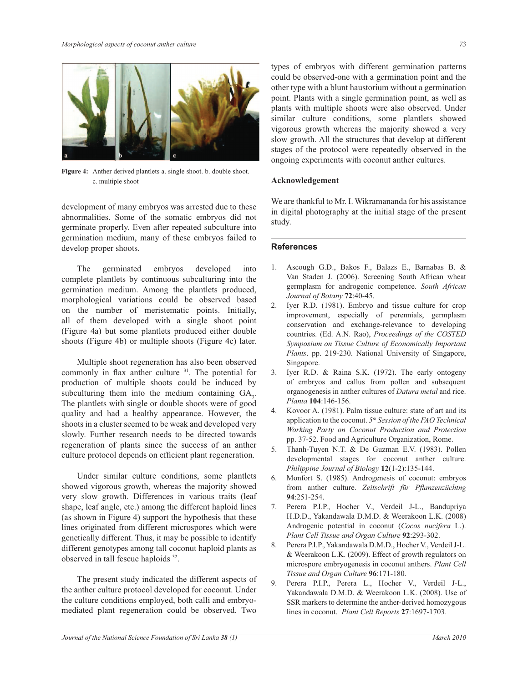

**Figure 4:** Anther derived plantlets a. single shoot. b. double shoot. c. multiple shoot

development of many embryos was arrested due to these abnormalities. Some of the somatic embryos did not germinate properly. Even after repeated subculture into germination medium, many of these embryos failed to develop proper shoots.

 The germinated embryos developed into complete plantlets by continuous subculturing into the germination medium. Among the plantlets produced, morphological variations could be observed based on the number of meristematic points. Initially, all of them developed with a single shoot point (Figure 4a) but some plantlets produced either double shoots (Figure 4b) or multiple shoots (Figure 4c) later.

 Multiple shoot regeneration has also been observed commonly in flax anther culture <sup>31</sup>. The potential for production of multiple shoots could be induced by subculturing them into the medium containing  $GA_3$ . The plantlets with single or double shoots were of good quality and had a healthy appearance. However, the shoots in a cluster seemed to be weak and developed very slowly. Further research needs to be directed towards regeneration of plants since the success of an anther culture protocol depends on efficient plant regeneration.

 Under similar culture conditions, some plantlets showed vigorous growth, whereas the majority showed very slow growth. Differences in various traits (leaf shape, leaf angle, etc.) among the different haploid lines (as shown in Figure 4) support the hypothesis that these lines originated from different microspores which were genetically different. Thus, it may be possible to identify different genotypes among tall coconut haploid plants as observed in tall fescue haploids <sup>32</sup>.

 The present study indicated the different aspects of the anther culture protocol developed for coconut. Under the culture conditions employed, both calli and embryomediated plant regeneration could be observed. Two

types of embryos with different germination patterns could be observed-one with a germination point and the other type with a blunt haustorium without a germination point. Plants with a single germination point, as well as plants with multiple shoots were also observed. Under similar culture conditions, some plantlets showed vigorous growth whereas the majority showed a very slow growth. All the structures that develop at different stages of the protocol were repeatedly observed in the ongoing experiments with coconut anther cultures.

#### **Acknowledgement**

We are thankful to Mr. I. Wikramananda for his assistance in digital photography at the initial stage of the present study.

#### **References**

- 1. Ascough G.D., Bakos F., Balazs E., Barnabas B. & Van Staden J. (2006). Screening South African wheat germplasm for androgenic competence. *South African Journal of Botany* **72**:40-45.
- 2. Iyer R.D. (1981). Embryo and tissue culture for crop improvement, especially of perennials, germplasm conservation and exchange-relevance to developing countries. (Ed. A.N. Rao), *Proceedings of the COSTED Symposium on Tissue Culture of Economically Important Plants*. pp. 219-230. National University of Singapore, Singapore.
- 3. Iyer R.D. & Raina S.K. (1972). The early ontogeny of embryos and callus from pollen and subsequent organogenesis in anther cultures of *Datura metal* and rice. *Planta* **104**:146-156.
- 4. Kovoor A. (1981). Palm tissue culture: state of art and its application to the coconut. *5 th Session of the FAO Technical Working Party on Coconut Production and Protection* pp. 37-52. Food and Agriculture Organization, Rome.
- 5. Thanh-Tuyen N.T. & De Guzman E.V. (1983). Pollen developmental stages for coconut anther culture. *Philippine Journal of Biology* **12**(1-2):135-144.
- 6. Monfort S. (1985). Androgenesis of coconut: embryos from anther culture. *Zeitschrift für Pflanzenzüchtng*  **94**:251-254.
- 7. Perera P.I.P., Hocher V., Verdeil J-L., Bandupriya H.D.D., Yakandawala D.M.D. & Weerakoon L.K. (2008) Androgenic potential in coconut (*Cocos nucifera* L.). *Plant Cell Tissue and Organ Culture* **92**:293-302.
- 8. Perera P.I.P., Yakandawala D.M.D., Hocher V., Verdeil J-L. & Weerakoon L.K. (2009). Effect of growth regulators on microspore embryogenesis in coconut anthers. *Plant Cell Tissue and Organ Culture* **96**:171-180.
- 9. Perera P.I.P., Perera L., Hocher V., Verdeil J-L., Yakandawala D.M.D. & Weerakoon L.K. (2008). Use of SSR markers to determine the anther-derived homozygous lines in coconut. *Plant Cell Reports* **27**:1697-1703.